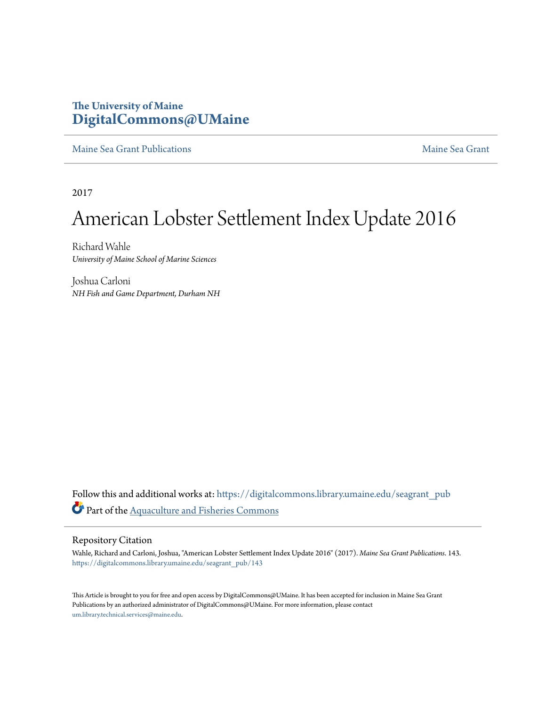## **The University of Maine [DigitalCommons@UMaine](https://digitalcommons.library.umaine.edu?utm_source=digitalcommons.library.umaine.edu%2Fseagrant_pub%2F143&utm_medium=PDF&utm_campaign=PDFCoverPages)**

[Maine Sea Grant Publications](https://digitalcommons.library.umaine.edu/seagrant_pub?utm_source=digitalcommons.library.umaine.edu%2Fseagrant_pub%2F143&utm_medium=PDF&utm_campaign=PDFCoverPages) [Maine Sea Grant](https://digitalcommons.library.umaine.edu/seagrant?utm_source=digitalcommons.library.umaine.edu%2Fseagrant_pub%2F143&utm_medium=PDF&utm_campaign=PDFCoverPages)

2017

## American Lobster Settlement Index Update 2016

Richard Wahle *University of Maine School of Marine Sciences*

Joshua Carloni *NH Fish and Game Department, Durham NH*

Follow this and additional works at: [https://digitalcommons.library.umaine.edu/seagrant\\_pub](https://digitalcommons.library.umaine.edu/seagrant_pub?utm_source=digitalcommons.library.umaine.edu%2Fseagrant_pub%2F143&utm_medium=PDF&utm_campaign=PDFCoverPages) Part of the [Aquaculture and Fisheries Commons](http://network.bepress.com/hgg/discipline/78?utm_source=digitalcommons.library.umaine.edu%2Fseagrant_pub%2F143&utm_medium=PDF&utm_campaign=PDFCoverPages)

## Repository Citation

Wahle, Richard and Carloni, Joshua, "American Lobster Settlement Index Update 2016" (2017). *Maine Sea Grant Publications*. 143. [https://digitalcommons.library.umaine.edu/seagrant\\_pub/143](https://digitalcommons.library.umaine.edu/seagrant_pub/143?utm_source=digitalcommons.library.umaine.edu%2Fseagrant_pub%2F143&utm_medium=PDF&utm_campaign=PDFCoverPages)

This Article is brought to you for free and open access by DigitalCommons@UMaine. It has been accepted for inclusion in Maine Sea Grant Publications by an authorized administrator of DigitalCommons@UMaine. For more information, please contact [um.library.technical.services@maine.edu](mailto:um.library.technical.services@maine.edu).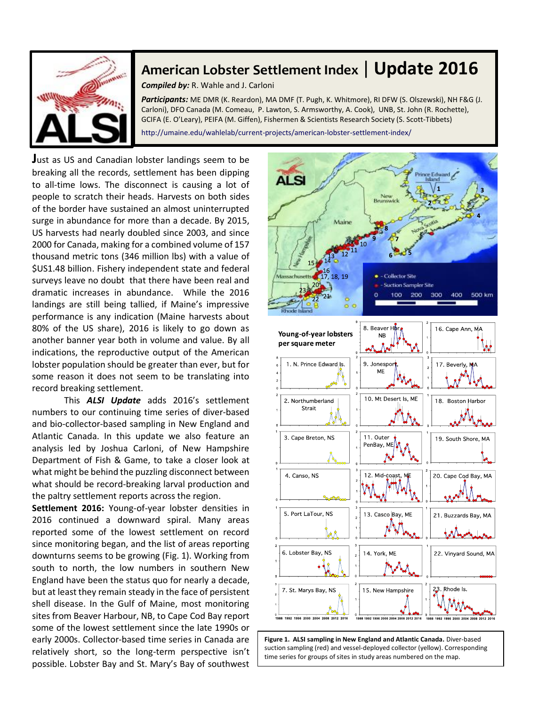

## **American Lobster Settlement Index** | **Update 2016**

*Compiled by:* R. Wahle and J. Carloni

*Participants:* ME DMR (K. Reardon), MA DMF (T. Pugh, K. Whitmore), RI DFW (S. Olszewski), NH F&G (J. Carloni), DFO Canada (M. Comeau, P. Lawton, S. Armsworthy, A. Cook), UNB, St. John (R. Rochette), GCIFA (E. O'Leary), PEIFA (M. Giffen), Fishermen & Scientists Research Society (S. Scott-Tibbets) http://umaine.edu/wahlelab/current-projects/american-lobster-settlement-index/

**J**ust as US and Canadian lobster landings seem to be breaking all the records, settlement has been dipping to all-time lows. The disconnect is causing a lot of people to scratch their heads. Harvests on both sides of the border have sustained an almost uninterrupted surge in abundance for more than a decade. By 2015, US harvests had nearly doubled since 2003, and since 2000 for Canada, making for a combined volume of 157 thousand metric tons (346 million lbs) with a value of \$US1.48 billion. Fishery independent state and federal surveys leave no doubt that there have been real and dramatic increases in abundance. While the 2016 landings are still being tallied, if Maine's impressive performance is any indication (Maine harvests about 80% of the US share), 2016 is likely to go down as another banner year both in volume and value. By all indications, the reproductive output of the American lobster population should be greater than ever, but for some reason it does not seem to be translating into record breaking settlement.

This *ALSI Update* adds 2016's settlement numbers to our continuing time series of diver-based and bio-collector-based sampling in New England and Atlantic Canada. In this update we also feature an analysis led by Joshua Carloni, of New Hampshire Department of Fish & Game, to take a closer look at what might be behind the puzzling disconnect between what should be record-breaking larval production and the paltry settlement reports across the region.

**Settlement 2016:** Young-of-year lobster densities in 2016 continued a downward spiral. Many areas reported some of the lowest settlement on record since monitoring began, and the list of areas reporting downturns seems to be growing (Fig. 1). Working from south to north, the low numbers in southern New England have been the status quo for nearly a decade, but at least they remain steady in the face of persistent shell disease. In the Gulf of Maine, most monitoring sites from Beaver Harbour, NB, to Cape Cod Bay report some of the lowest settlement since the late 1990s or early 2000s. Collector-based time series in Canada are relatively short, so the long-term perspective isn't possible. Lobster Bay and St. Mary's Bay of southwest



**Figure 1. ALSI sampling in New England and Atlantic Canada.** Diver-based suction sampling (red) and vessel-deployed collector (yellow). Corresponding time series for groups of sites in study areas numbered on the map.